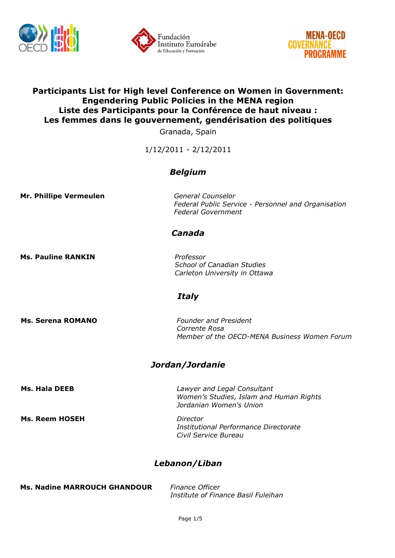





### **Participants List for High level Conference on Women in Government: Engendering Public Policies in the MENA region Liste des Participants pour la Conférence de haut niveau : Les femmes dans le gouvernement, gendérisation des politiques**

Granada, Spain

1/12/2011 - 2/12/2011

### *Belgium*

**Mr. Phillipe Vermeulen** *General Counselor*

*Federal Public Service - Personnel and Organisation Federal Government*

### *Canada*

**Ms. Pauline RANKIN** *Professor*

*School of Canadian Studies Carleton University in Ottawa*

#### *Italy*

**Ms. Serena ROMANO** *Founder and President Corrente Rosa Member of the OECD-MENA Business Women Forum*

## *Jordan/Jordanie*

**Ms. Reem HOSEH** *Director*

**Ms. Hala DEEB** *Lawyer and Legal Consultant Women's Studies, Islam and Human Rights Jordanian Women's Union*

> *Institutional Performance Directorate Civil Service Bureau*

## *Lebanon/Liban*

| <b>Ms. Nadine MARROUCH GHANDOUR</b> | Finance Officer                     |
|-------------------------------------|-------------------------------------|
|                                     | Institute of Finance Basil Fuleihan |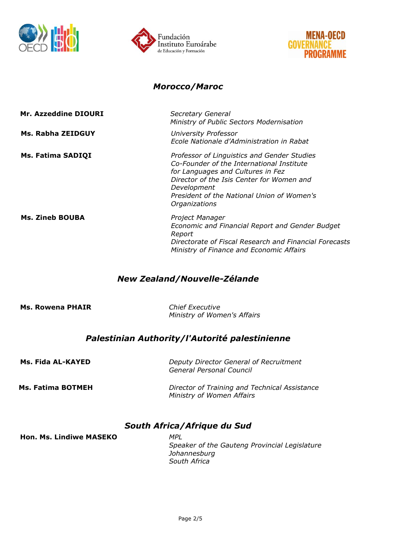





#### *Morocco/Maroc*

| Mr. Azzeddine DIOURI   | Secretary General<br>Ministry of Public Sectors Modernisation                                                                                                                                                                                            |
|------------------------|----------------------------------------------------------------------------------------------------------------------------------------------------------------------------------------------------------------------------------------------------------|
| Ms. Rabha ZEIDGUY      | University Professor<br>Ecole Nationale d'Administration in Rabat                                                                                                                                                                                        |
| Ms. Fatima SADIQI      | Professor of Linguistics and Gender Studies<br>Co-Founder of the International Institute<br>for Languages and Cultures in Fez<br>Director of the Isis Center for Women and<br>Development<br>President of the National Union of Women's<br>Organizations |
| <b>Ms. Zineb BOUBA</b> | Project Manager<br>Economic and Financial Report and Gender Budget<br>Report<br>Directorate of Fiscal Research and Financial Forecasts<br>Ministry of Finance and Economic Affairs                                                                       |

# *New Zealand/Nouvelle-Zélande*

**Ms. Rowena PHAIR** *Chief Executive*

*Ministry of Women's Affairs*

## *Palestinian Authority/l'Autorité palestinienne*

| Ms. Fida AL-KAYED | Deputy Director General of Recruitment<br>General Personal Council         |
|-------------------|----------------------------------------------------------------------------|
| Ms. Fatima BOTMEH | Director of Training and Technical Assistance<br>Ministry of Women Affairs |

## *South Africa/Afrique du Sud*

**Hon. Ms. Lindiwe MASEKO** *MPL*

*Speaker of the Gauteng Provincial Legislature Johannesburg South Africa*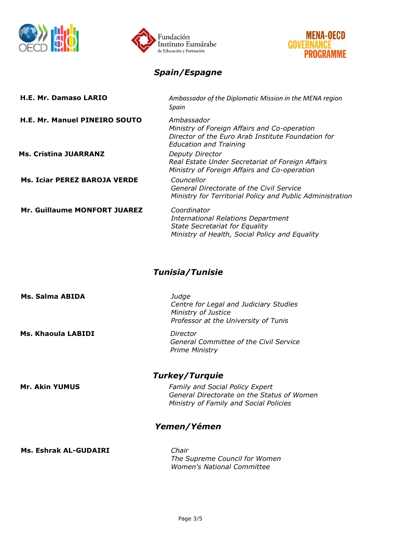





# *Spain/Espagne*

| H.E. Mr. Damaso LARIO               | Ambassador of the Diplomatic Mission in the MENA region<br>Spain                                                                                    |  |
|-------------------------------------|-----------------------------------------------------------------------------------------------------------------------------------------------------|--|
| H.E. Mr. Manuel PINEIRO SOUTO       | Ambassador<br>Ministry of Foreign Affairs and Co-operation<br>Director of the Euro Arab Institute Foundation for<br><b>Education and Training</b>   |  |
| <b>Ms. Cristina JUARRANZ</b>        | Deputy Director<br>Real Estate Under Secretariat of Foreign Affairs<br>Ministry of Foreign Affairs and Co-operation                                 |  |
| <b>Ms. Iciar PEREZ BAROJA VERDE</b> | Councellor<br>General Directorate of the Civil Service<br>Ministry for Territorial Policy and Public Administration                                 |  |
| Mr. Guillaume MONFORT JUAREZ        | Coordinator<br><b>International Relations Department</b><br><b>State Secretariat for Equality</b><br>Ministry of Health, Social Policy and Equality |  |
| <b>Tunisia/Tunisie</b>              |                                                                                                                                                     |  |
| Ms. Salma ABIDA                     | Judge<br>Centre for Legal and Judiciary Studies<br>Ministry of Justice<br>Professor at the University of Tunis                                      |  |
| Ms. Khaoula LABIDI                  | Director<br>General Committee of the Civil Service<br><b>Prime Ministry</b>                                                                         |  |
| <b>Turkey/Turquie</b>               |                                                                                                                                                     |  |
| <b>Mr. Akin YUMUS</b>               | <b>Family and Social Policy Expert</b><br>General Directorate on the Status of Women<br>Ministry of Family and Social Policies                      |  |
| Yemen/Yémen                         |                                                                                                                                                     |  |
| <b>Ms. Eshrak AL-GUDAIRI</b>        | Chair<br>The Supreme Council for Women<br><b>Women's National Committee</b>                                                                         |  |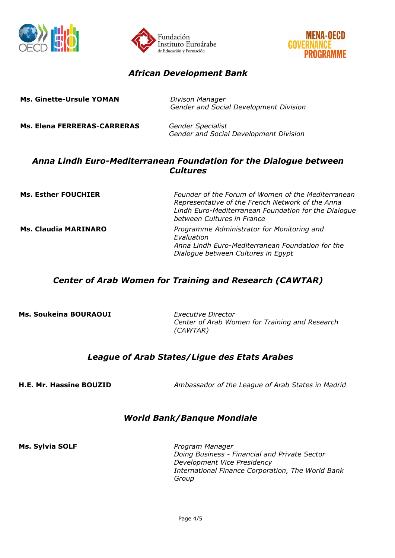





### *African Development Bank*

| <b>Ms. Ginette-Ursule YOMAN</b> | Divison Manager<br>Gender and Social Development Division          |
|---------------------------------|--------------------------------------------------------------------|
| Ms. Elena FERRERAS-CARRERAS     | <b>Gender Specialist</b><br>Gender and Social Development Division |

### *Anna Lindh Euro-Mediterranean Foundation for the Dialogue between Cultures*

| <b>Ms. Esther FOUCHIER</b>  | Founder of the Forum of Women of the Mediterranean<br>Representative of the French Network of the Anna<br>Lindh Euro-Mediterranean Foundation for the Dialogue<br>between Cultures in France |
|-----------------------------|----------------------------------------------------------------------------------------------------------------------------------------------------------------------------------------------|
| <b>Ms. Claudia MARINARO</b> | Programme Administrator for Monitoring and<br>Evaluation<br>Anna Lindh Euro-Mediterranean Foundation for the<br>Dialogue between Cultures in Egypt                                           |

## *Center of Arab Women for Training and Research (CAWTAR)*

**Ms. Soukeina BOURAOUI** *Executive Director*

*Center of Arab Women for Training and Research (CAWTAR)*

## *League of Arab States/Ligue des Etats Arabes*

**H.E. Mr. Hassine BOUZID** *Ambassador of the League of Arab States in Madrid*

### *World Bank/Banque Mondiale*

**Ms. Sylvia SOLF** *Program Manager*

*Doing Business - Financial and Private Sector Development Vice Presidency International Finance Corporation, The World Bank Group*